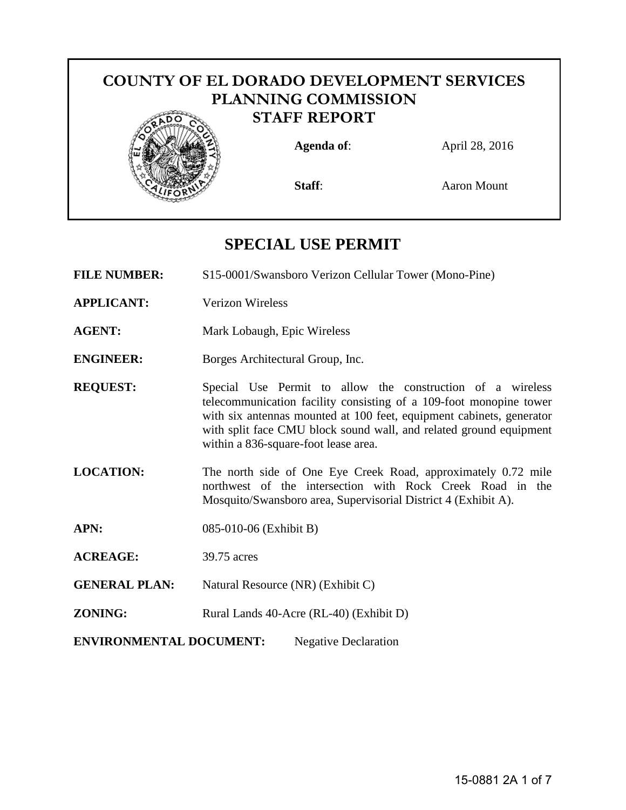# **COUNTY OF EL DORADO DEVELOPMENT SERVICES PLANNING COMMISSION STAFF REPORT Agenda of**: April 28, 2016 **Staff:** Aaron Mount

# **SPECIAL USE PERMIT**

**FILE NUMBER:** S15-0001/Swansboro Verizon Cellular Tower (Mono-Pine)

- **APPLICANT:** Verizon Wireless
- **AGENT:** Mark Lobaugh, Epic Wireless
- **ENGINEER:** Borges Architectural Group, Inc.
- **REQUEST:** Special Use Permit to allow the construction of a wireless telecommunication facility consisting of a 109-foot monopine tower with six antennas mounted at 100 feet, equipment cabinets, generator with split face CMU block sound wall, and related ground equipment within a 836-square-foot lease area.
- **LOCATION:** The north side of One Eye Creek Road, approximately 0.72 mile northwest of the intersection with Rock Creek Road in the Mosquito/Swansboro area, Supervisorial District 4 (Exhibit A).
- **APN:** 085-010-06 (Exhibit B)
- **ACREAGE:** 39.75 acres
- **GENERAL PLAN:** Natural Resource (NR) (Exhibit C)
- **ZONING:** Rural Lands 40-Acre (RL-40) (Exhibit D)
- <span id="page-0-0"></span>**[ENVIRONMENTAL DOCUMENT:](#page-0-0)** Negative Declaration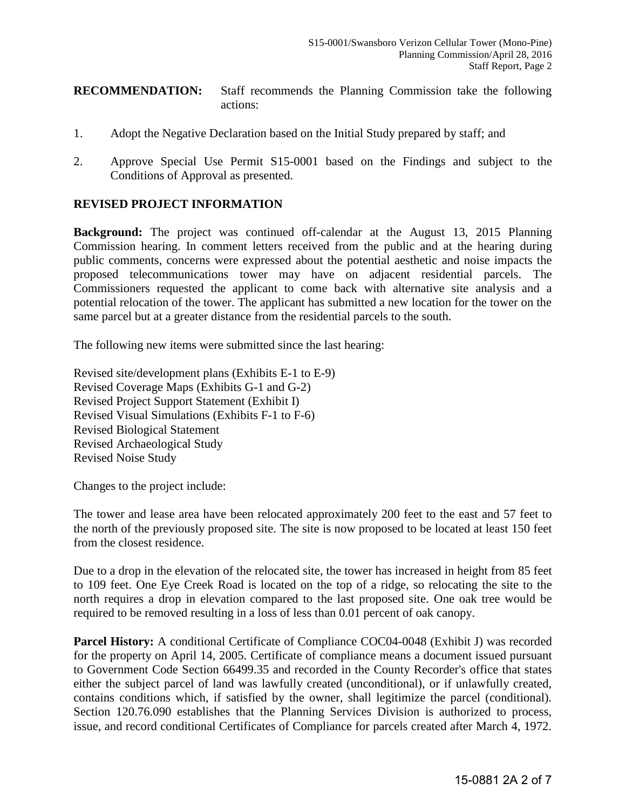#### **RECOMMENDATION:** Staff recommends the Planning Commission take the following actions:

- 1. Adopt the Negative Declaration based on the Initial Study prepared by staff; and
- 2. Approve Special Use Permit S15-0001 based on the Findings and subject to the Conditions of Approval as presented.

#### **REVISED PROJECT INFORMATION**

**Background:** The project was continued off-calendar at the August 13, 2015 Planning Commission hearing. In comment letters received from the public and at the hearing during public comments, concerns were expressed about the potential aesthetic and noise impacts the proposed telecommunications tower may have on adjacent residential parcels. The Commissioners requested the applicant to come back with alternative site analysis and a potential relocation of the tower. The applicant has submitted a new location for the tower on the same parcel but at a greater distance from the residential parcels to the south.

The following new items were submitted since the last hearing:

Revised site/development plans (Exhibits E-1 to E-9) Revised Coverage Maps (Exhibits G-1 and G-2) Revised Project Support Statement (Exhibit I) Revised Visual Simulations (Exhibits F-1 to F-6) Revised Biological Statement Revised Archaeological Study Revised Noise Study

Changes to the project include:

The tower and lease area have been relocated approximately 200 feet to the east and 57 feet to the north of the previously proposed site. The site is now proposed to be located at least 150 feet from the closest residence.

Due to a drop in the elevation of the relocated site, the tower has increased in height from 85 feet to 109 feet. One Eye Creek Road is located on the top of a ridge, so relocating the site to the north requires a drop in elevation compared to the last proposed site. One oak tree would be required to be removed resulting in a loss of less than 0.01 percent of oak canopy.

Parcel History: A conditional Certificate of Compliance COC04-0048 (Exhibit J) was recorded for the property on April 14, 2005. Certificate of compliance means a document issued pursuant to Government Code Section 66499.35 and recorded in the County Recorder's office that states either the subject parcel of land was lawfully created (unconditional), or if unlawfully created, contains conditions which, if satisfied by the owner, shall legitimize the parcel (conditional). Section 120.76.090 establishes that the Planning Services Division is authorized to process, issue, and record conditional Certificates of Compliance for parcels created after March 4, 1972.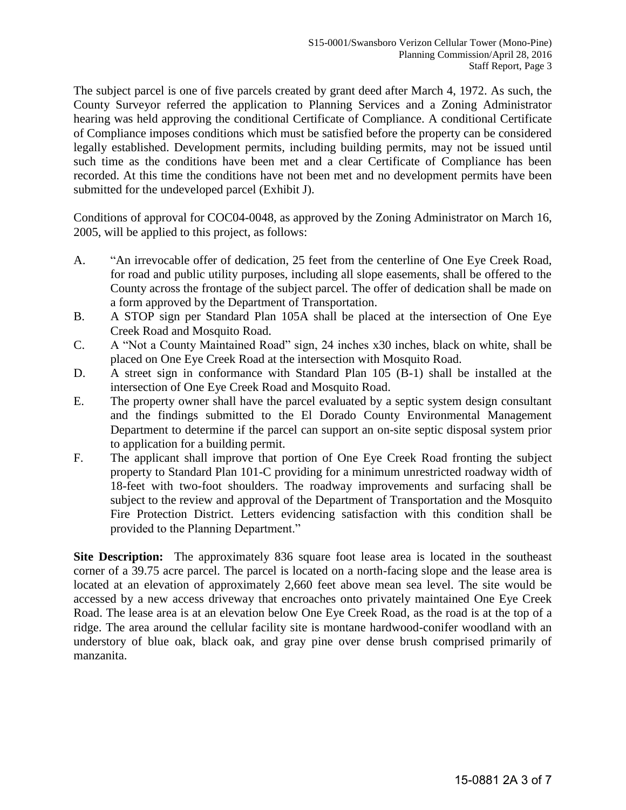The subject parcel is one of five parcels created by grant deed after March 4, 1972. As such, the County Surveyor referred the application to Planning Services and a Zoning Administrator hearing was held approving the conditional Certificate of Compliance. A conditional Certificate of Compliance imposes conditions which must be satisfied before the property can be considered legally established. Development permits, including building permits, may not be issued until such time as the conditions have been met and a clear Certificate of Compliance has been recorded. At this time the conditions have not been met and no development permits have been submitted for the undeveloped parcel (Exhibit J).

Conditions of approval for COC04-0048, as approved by the Zoning Administrator on March 16, 2005, will be applied to this project, as follows:

- A. "An irrevocable offer of dedication, 25 feet from the centerline of One Eye Creek Road, for road and public utility purposes, including all slope easements, shall be offered to the County across the frontage of the subject parcel. The offer of dedication shall be made on a form approved by the Department of Transportation.
- B. A STOP sign per Standard Plan 105A shall be placed at the intersection of One Eye Creek Road and Mosquito Road.
- C. A "Not a County Maintained Road" sign, 24 inches x30 inches, black on white, shall be placed on One Eye Creek Road at the intersection with Mosquito Road.
- D. A street sign in conformance with Standard Plan 105 (B-1) shall be installed at the intersection of One Eye Creek Road and Mosquito Road.
- E. The property owner shall have the parcel evaluated by a septic system design consultant and the findings submitted to the El Dorado County Environmental Management Department to determine if the parcel can support an on-site septic disposal system prior to application for a building permit.
- F. The applicant shall improve that portion of One Eye Creek Road fronting the subject property to Standard Plan 101-C providing for a minimum unrestricted roadway width of 18-feet with two-foot shoulders. The roadway improvements and surfacing shall be subject to the review and approval of the Department of Transportation and the Mosquito Fire Protection District. Letters evidencing satisfaction with this condition shall be provided to the Planning Department."

<span id="page-2-0"></span>**[Site Description:](#page-2-0)** The approximately 836 square foot lease area is located in the southeast corner of a 39.75 acre parcel. The parcel is located on a north-facing slope and the lease area is located at an elevation of approximately 2,660 feet above mean sea level. The site would be accessed by a new access driveway that encroaches onto privately maintained One Eye Creek Road. The lease area is at an elevation below One Eye Creek Road, as the road is at the top of a ridge. The area around the cellular facility site is montane hardwood-conifer woodland with an understory of blue oak, black oak, and gray pine over dense brush comprised primarily of manzanita.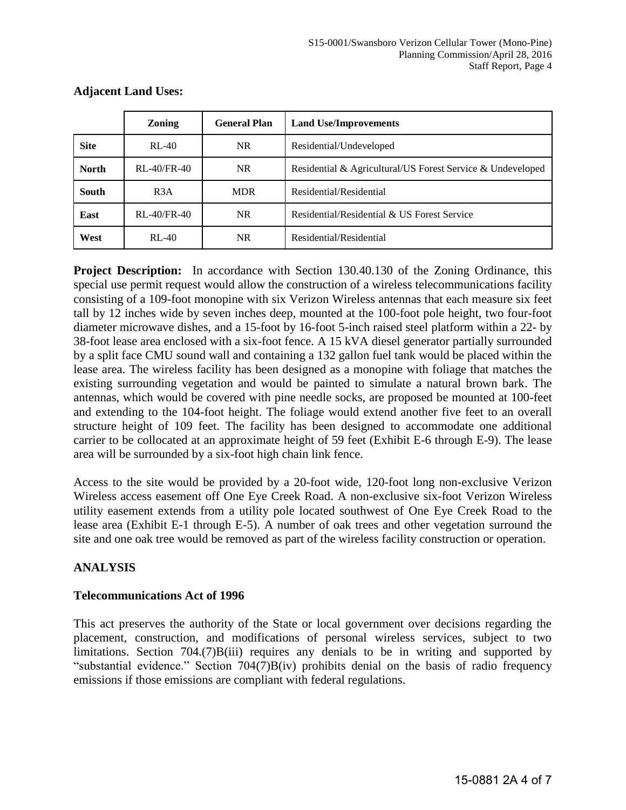|              | <b>Zoning</b>     | <b>General Plan</b> | <b>Land Use/Improvements</b>                               |
|--------------|-------------------|---------------------|------------------------------------------------------------|
| <b>Site</b>  | $RL-40$           | <b>NR</b>           | Residential/Undeveloped                                    |
| <b>North</b> | $RL-40$ /FR $-40$ | <b>NR</b>           | Residential & Agricultural/US Forest Service & Undeveloped |
| <b>South</b> | R <sub>3</sub> A  | <b>MDR</b>          | Residential/Residential                                    |
| East         | $RL-40$ /FR $-40$ | <b>NR</b>           | Residential/Residential & US Forest Service                |
| West         | $RL-40$           | <b>NR</b>           | Residential/Residential                                    |

## **Adjacent Land Uses:**

**Project Description:** In accordance with Section 130.40.130 of the Zoning Ordinance, this special use permit request would allow the construction of a wireless telecommunications facility consisting of a 109-foot monopine with six Verizon Wireless antennas that each measure six feet tall by 12 inches wide by seven inches deep, mounted at the 100-foot pole height, two four-foot diameter microwave dishes, and a 15-foot by 16-foot 5-inch raised steel platform within a 22- by 38-foot lease area enclosed with a six-foot fence. A 15 kVA diesel generator partially surrounded by a split face CMU sound wall and containing a 132 gallon fuel tank would be placed within the lease area. The wireless facility has been designed as a monopine with foliage that matches the existing surrounding vegetation and would be painted to simulate a natural brown bark. The antennas, which would be covered with pine needle socks, are proposed be mounted at 100-feet and extending to the 104-foot height. The foliage would extend another five feet to an overall structure height of 109 feet. The facility has been designed to accommodate one additional carrier to be collocated at an approximate height of 59 feet (Exhibit E-6 through E-9). The lease area will be surrounded by a six-foot high chain link fence.

Access to the site would be provided by a 20-foot wide, 120-foot long non-exclusive Verizon Wireless access easement off One Eye Creek Road. A non-exclusive six-foot Verizon Wireless utility easement extends from a utility pole located southwest of One Eye Creek Road to the lease area (Exhibit E-1 through E-5). A number of oak trees and other vegetation surround the site and one oak tree would be removed as part of the wireless facility construction or operation.

# **ANALYSIS**

# **Telecommunications Act of 1996**

This act preserves the authority of the State or local government over decisions regarding the placement, construction, and modifications of personal wireless services, subject to two limitations. Section 704.(7)B(iii) requires any denials to be in writing and supported by "substantial evidence." Section 704(7)B(iv) prohibits denial on the basis of radio frequency emissions if those emissions are compliant with federal regulations.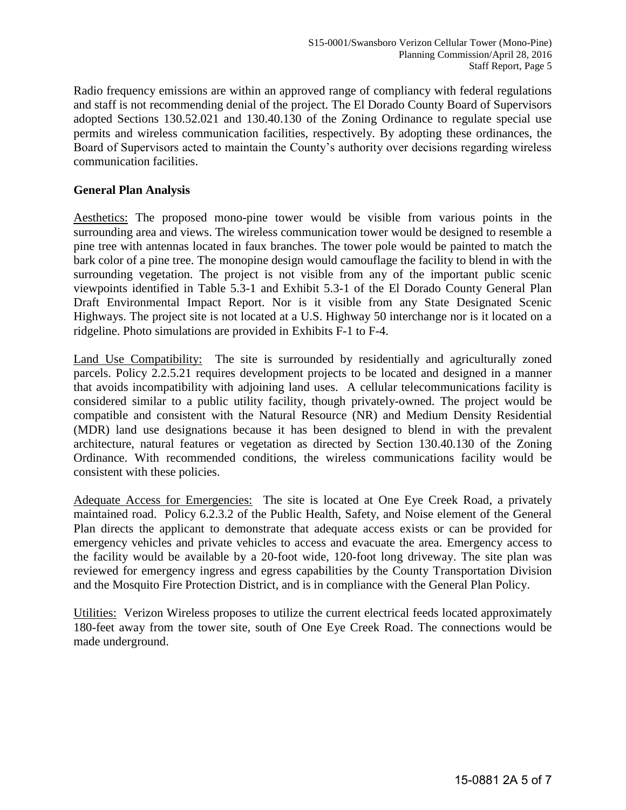Radio frequency emissions are within an approved range of compliancy with federal regulations and staff is not recommending denial of the project. The El Dorado County Board of Supervisors adopted Sections 130.52.021 and 130.40.130 of the Zoning Ordinance to regulate special use permits and wireless communication facilities, respectively. By adopting these ordinances, the Board of Supervisors acted to maintain the County's authority over decisions regarding wireless communication facilities.

## **General Plan Analysis**

Aesthetics: The proposed mono-pine tower would be visible from various points in the surrounding area and views. The wireless communication tower would be designed to resemble a pine tree with antennas located in faux branches. The tower pole would be painted to match the bark color of a pine tree. The monopine design would camouflage the facility to blend in with the surrounding vegetation. The project is not visible from any of the important public scenic viewpoints identified in Table 5.3-1 and Exhibit 5.3-1 of the El Dorado County General Plan Draft Environmental Impact Report. Nor is it visible from any State Designated Scenic Highways. The project site is not located at a U.S. Highway 50 interchange nor is it located on a ridgeline. Photo simulations are provided in Exhibits F-1 to F-4.

Land Use Compatibility: The site is surrounded by residentially and agriculturally zoned parcels. Policy 2.2.5.21 requires development projects to be located and designed in a manner that avoids incompatibility with adjoining land uses. A cellular telecommunications facility is considered similar to a public utility facility, though privately-owned. The project would be compatible and consistent with the Natural Resource (NR) and Medium Density Residential (MDR) land use designations because it has been designed to blend in with the prevalent architecture, natural features or vegetation as directed by Section 130.40.130 of the Zoning Ordinance. With recommended conditions, the wireless communications facility would be consistent with these policies.

Adequate Access for Emergencies: The site is located at One Eye Creek Road, a privately maintained road. Policy 6.2.3.2 of the Public Health, Safety, and Noise element of the General Plan directs the applicant to demonstrate that adequate access exists or can be provided for emergency vehicles and private vehicles to access and evacuate the area. Emergency access to the facility would be available by a 20-foot wide, 120-foot long driveway. The site plan was reviewed for emergency ingress and egress capabilities by the County Transportation Division and the Mosquito Fire Protection District, and is in compliance with the General Plan Policy.

Utilities: Verizon Wireless proposes to utilize the current electrical feeds located approximately 180-feet away from the tower site, south of One Eye Creek Road. The connections would be made underground.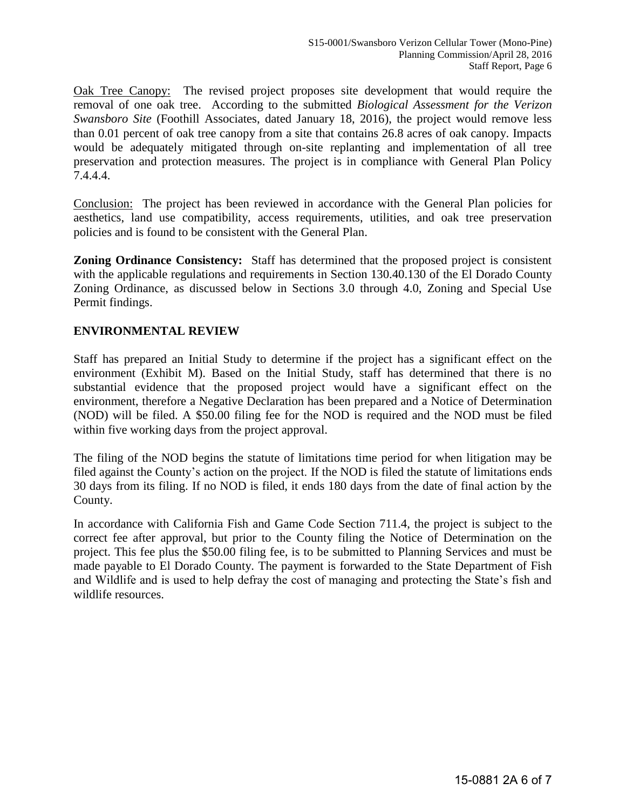Oak Tree Canopy: The revised project proposes site development that would require the removal of one oak tree. According to the submitted *Biological Assessment for the Verizon Swansboro Site* (Foothill Associates, dated January 18, 2016), the project would remove less than 0.01 percent of oak tree canopy from a site that contains 26.8 acres of oak canopy. Impacts would be adequately mitigated through on-site replanting and implementation of all tree preservation and protection measures. The project is in compliance with General Plan Policy 7.4.4.4.

Conclusion:The project has been reviewed in accordance with the General Plan policies for aesthetics, land use compatibility, access requirements, utilities, and oak tree preservation policies and is found to be consistent with the General Plan.

**Zoning Ordinance Consistency:** Staff has determined that the proposed project is consistent with the applicable regulations and requirements in Section 130.40.130 of the El Dorado County Zoning Ordinance, as discussed below in Sections 3.0 through 4.0, Zoning and Special Use Permit findings.

## **ENVIRONMENTAL REVIEW**

Staff has prepared an Initial Study to determine if the project has a significant effect on the environment (Exhibit M). Based on the Initial Study, staff has determined that there is no substantial evidence that the proposed project would have a significant effect on the environment, therefore a Negative Declaration has been prepared and a Notice of Determination (NOD) will be filed. A \$50.00 filing fee for the NOD is required and the NOD must be filed within five working days from the project approval.

The filing of the NOD begins the statute of limitations time period for when litigation may be filed against the County's action on the project. If the NOD is filed the statute of limitations ends 30 days from its filing. If no NOD is filed, it ends 180 days from the date of final action by the County.

In accordance with California Fish and Game Code Section 711.4, the project is subject to the correct fee after approval, but prior to the County filing the Notice of Determination on the project. This fee plus the \$50.00 filing fee, is to be submitted to Planning Services and must be made payable to El Dorado County. The payment is forwarded to the State Department of Fish and Wildlife and is used to help defray the cost of managing and protecting the State's fish and wildlife resources.